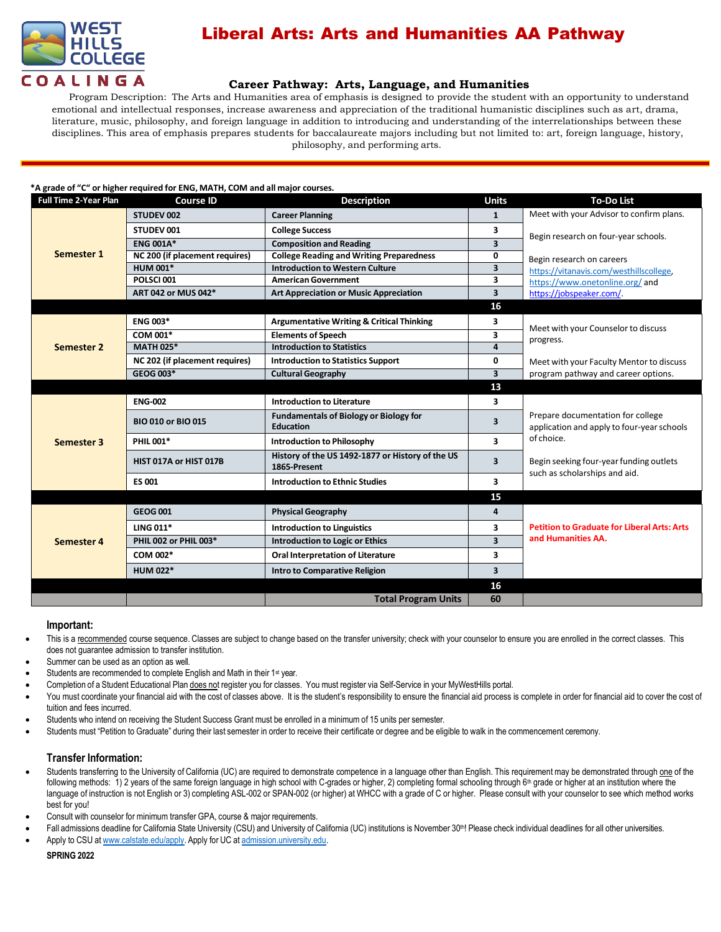

# Liberal Arts: Arts and Humanities AA Pathway

## **Career [Pathway:](http://www.broward.edu/academics/programs/Pages/social-behavioral-sciences-human-services-SBSHS.aspx) Arts, Language, and Humanities**

Program Description: The Arts and Humanities area of emphasis is designed to provide the student with an opportunity to understand emotional and intellectual responses, increase awareness and appreciation of the traditional humanistic disciplines such as art, drama, literature, music, philosophy, and foreign language in addition to introducing and understanding of the interrelationships between these disciplines. This area of emphasis prepares students for baccalaureate majors including but not limited to: art, foreign language, history, philosophy, and performing arts.

### **\*A grade of "C" or higher required for ENG, MATH, COM and all major courses.**

| Full Time 2-Year Plan | <b>Course ID</b>               | <b>Description</b>                                                | <b>Units</b>            | <b>To-Do List</b>                                                               |
|-----------------------|--------------------------------|-------------------------------------------------------------------|-------------------------|---------------------------------------------------------------------------------|
| Semester 1            | STUDEV 002                     | <b>Career Planning</b>                                            | $\mathbf{1}$            | Meet with your Advisor to confirm plans.                                        |
|                       | STUDEV 001                     | <b>College Success</b>                                            | 3                       | Begin research on four-year schools.                                            |
|                       | <b>ENG 001A*</b>               | <b>Composition and Reading</b>                                    | $\overline{\mathbf{3}}$ |                                                                                 |
|                       | NC 200 (if placement requires) | <b>College Reading and Writing Preparedness</b>                   | 0                       | Begin research on careers                                                       |
|                       | <b>HUM 001*</b>                | <b>Introduction to Western Culture</b>                            | $\overline{\mathbf{3}}$ | https://vitanavis.com/westhillscollege,                                         |
|                       | POLSCI001                      | <b>American Government</b>                                        | 3                       | https://www.onetonline.org/and                                                  |
|                       | ART 042 or MUS 042*            | <b>Art Appreciation or Music Appreciation</b>                     | 3                       | https://jobspeaker.com/.                                                        |
|                       |                                |                                                                   | 16                      |                                                                                 |
| Semester 2            | <b>ENG 003*</b>                | <b>Argumentative Writing &amp; Critical Thinking</b>              | 3                       |                                                                                 |
|                       | COM 001*                       | <b>Elements of Speech</b>                                         | 3                       | Meet with your Counselor to discuss<br>progress.                                |
|                       | <b>MATH 025*</b>               | <b>Introduction to Statistics</b>                                 | $\overline{a}$          |                                                                                 |
|                       | NC 202 (if placement requires) | <b>Introduction to Statistics Support</b>                         | 0                       | Meet with your Faculty Mentor to discuss                                        |
|                       | GEOG 003*                      | <b>Cultural Geography</b>                                         | $\overline{\mathbf{3}}$ | program pathway and career options.                                             |
|                       |                                |                                                                   | 13                      |                                                                                 |
| Semester 3            | <b>ENG-002</b>                 | <b>Introduction to Literature</b>                                 | 3                       |                                                                                 |
|                       | <b>BIO 010 or BIO 015</b>      | <b>Fundamentals of Biology or Biology for</b><br><b>Education</b> | 3                       | Prepare documentation for college<br>application and apply to four-year schools |
|                       | <b>PHIL 001*</b>               | <b>Introduction to Philosophy</b>                                 | 3                       | of choice.                                                                      |
|                       | HIST 017A or HIST 017B         | History of the US 1492-1877 or History of the US<br>1865-Present  | 3                       | Begin seeking four-year funding outlets<br>such as scholarships and aid.        |
|                       | <b>ES 001</b>                  | <b>Introduction to Ethnic Studies</b>                             | 3                       |                                                                                 |
|                       |                                |                                                                   | 15                      |                                                                                 |
| Semester 4            | <b>GEOG 001</b>                | <b>Physical Geography</b>                                         | 4                       |                                                                                 |
|                       | <b>LING 011*</b>               | <b>Introduction to Linguistics</b>                                | 3                       | <b>Petition to Graduate for Liberal Arts: Arts</b>                              |
|                       | PHIL 002 or PHIL 003*          | Introduction to Logic or Ethics                                   | $\overline{\mathbf{3}}$ | and Humanities AA.                                                              |
|                       | COM 002*                       | <b>Oral Interpretation of Literature</b>                          | 3                       |                                                                                 |
|                       | <b>HUM 022*</b>                | Intro to Comparative Religion                                     | 3                       |                                                                                 |
|                       |                                |                                                                   | 16                      |                                                                                 |
|                       |                                | <b>Total Program Units</b>                                        | 60                      |                                                                                 |

#### **Important:**

- This is a recommended course sequence. Classes are subject to change based on the transfer university; check with your counselor to ensure you are enrolled in the correct classes. This does not guarantee admission to transfer institution.
- Summer can be used as an option as well.
- Students are recommended to complete English and Math in their 1<sup>st</sup> year.
- Completion of a Student Educational Plan does not register you for classes. You must register via Self-Service in your MyWestHills portal.
- You must coordinate your financial aid with the cost of classes above. It is the student's responsibility to ensure the financial aid process is complete in order for financial aid to cover the cost of tuition and fees incurred.
- Students who intend on receiving the Student Success Grant must be enrolled in a minimum of 15 units per semester.
- Students must "Petition to Graduate" during their last semester in order to receive their certificate or degree and be eligible to walk in the commencement ceremony.

### **Transfer Information:**

- Students transferring to the University of California (UC) are required to demonstrate competence in a language other than English. This requirement may be demonstrated through one of the following methods: 1) 2 years of the same foreign language in high school with C-grades or higher, 2) completing formal schooling through 6<sup>th</sup> grade or higher at an institution where the language of instruction is not English or 3) completing ASL-002 or SPAN-002 (or higher) at WHCC with a grade of C or higher. Please consult with your counselor to see which method works best for you!
- Consult with counselor for minimum transfer GPA, course & major requirements.
- Fall admissions deadline for California State University (CSU) and University of California (UC) institutions is November 30<sup>th</sup>! Please check individual deadlines for all other universities.
- Apply to CSU at [www.calstate.edu/apply.](http://www.calstate.edu/apply) Apply for UC at [admission.university.edu.](http://www.apply.universityofcalifornia.edu/)

**SPRING 2022**